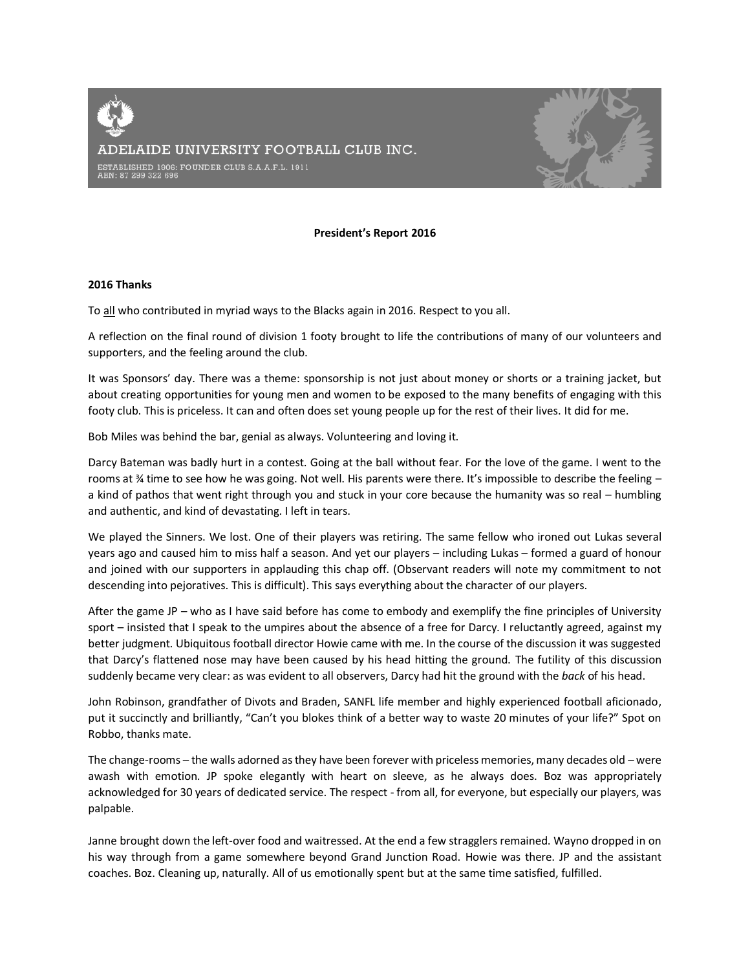ADELAIDE UNIVERSITY FOOTBALL CLUB INC. ESTABLISHED 1906: FOUNDER CLUB S.A.A.F.L. 1911<br>ABN: 87 299 322 696

### **President's Report 2016**

#### **2016 Thanks**

To all who contributed in myriad ways to the Blacks again in 2016. Respect to you all.

A reflection on the final round of division 1 footy brought to life the contributions of many of our volunteers and supporters, and the feeling around the club.

It was Sponsors' day. There was a theme: sponsorship is not just about money or shorts or a training jacket, but about creating opportunities for young men and women to be exposed to the many benefits of engaging with this footy club. This is priceless. It can and often does set young people up for the rest of their lives. It did for me.

Bob Miles was behind the bar, genial as always. Volunteering and loving it.

Darcy Bateman was badly hurt in a contest. Going at the ball without fear. For the love of the game. I went to the rooms at % time to see how he was going. Not well. His parents were there. It's impossible to describe the feeling – a kind of pathos that went right through you and stuck in your core because the humanity was so real – humbling and authentic, and kind of devastating. I left in tears.

We played the Sinners. We lost. One of their players was retiring. The same fellow who ironed out Lukas several years ago and caused him to miss half a season. And yet our players – including Lukas – formed a guard of honour and joined with our supporters in applauding this chap off. (Observant readers will note my commitment to not descending into pejoratives. This is difficult). This says everything about the character of our players.

After the game JP – who as I have said before has come to embody and exemplify the fine principles of University sport – insisted that I speak to the umpires about the absence of a free for Darcy. I reluctantly agreed, against my better judgment. Ubiquitous football director Howie came with me. In the course of the discussion it was suggested that Darcy's flattened nose may have been caused by his head hitting the ground. The futility of this discussion suddenly became very clear: as was evident to all observers, Darcy had hit the ground with the *back* of his head.

John Robinson, grandfather of Divots and Braden, SANFL life member and highly experienced football aficionado, put it succinctly and brilliantly, "Can't you blokes think of a better way to waste 20 minutes of your life?" Spot on Robbo, thanks mate.

The change-rooms – the walls adorned as they have been forever with priceless memories, many decades old – were awash with emotion. JP spoke elegantly with heart on sleeve, as he always does. Boz was appropriately acknowledged for 30 years of dedicated service. The respect - from all, for everyone, but especially our players, was palpable.

Janne brought down the left-over food and waitressed. At the end a few stragglers remained. Wayno dropped in on his way through from a game somewhere beyond Grand Junction Road. Howie was there. JP and the assistant coaches. Boz. Cleaning up, naturally. All of us emotionally spent but at the same time satisfied, fulfilled.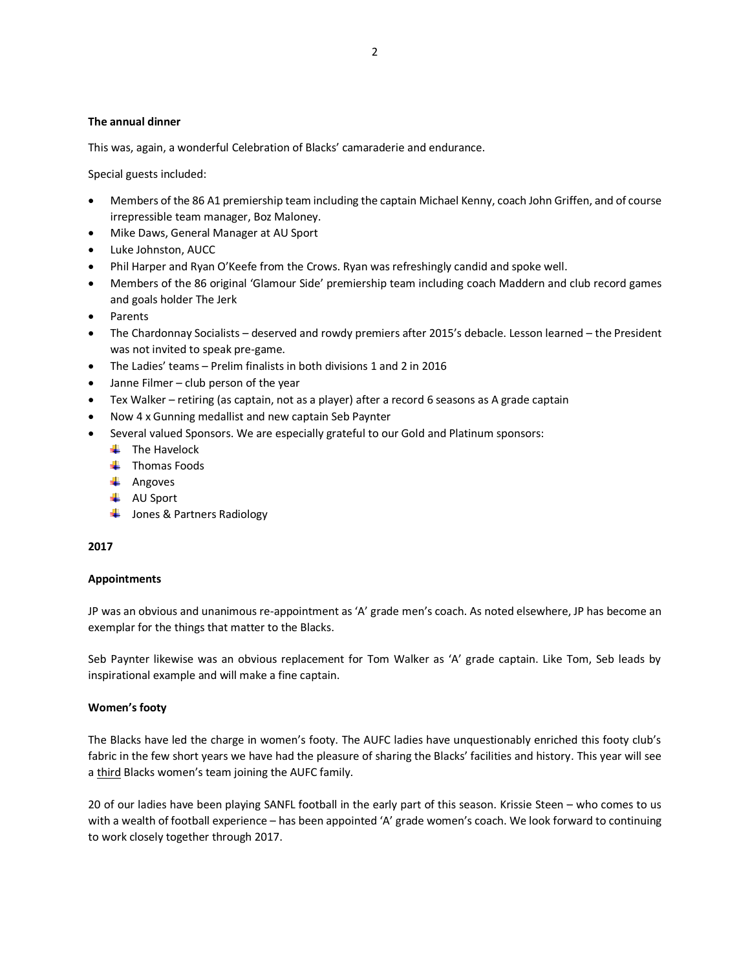## **The annual dinner**

This was, again, a wonderful Celebration of Blacks' camaraderie and endurance.

Special guests included:

- Members of the 86 A1 premiership team including the captain Michael Kenny, coach John Griffen, and of course irrepressible team manager, Boz Maloney.
- Mike Daws, General Manager at AU Sport
- Luke Johnston, AUCC
- Phil Harper and Ryan O'Keefe from the Crows. Ryan was refreshingly candid and spoke well.
- Members of the 86 original 'Glamour Side' premiership team including coach Maddern and club record games and goals holder The Jerk
- Parents
- The Chardonnay Socialists deserved and rowdy premiers after 2015's debacle. Lesson learned the President was not invited to speak pre-game.
- The Ladies' teams Prelim finalists in both divisions 1 and 2 in 2016
- Janne Filmer club person of the year
- Tex Walker retiring (as captain, not as a player) after a record 6 seasons as A grade captain
- Now 4 x Gunning medallist and new captain Seb Paynter
- Several valued Sponsors. We are especially grateful to our Gold and Platinum sponsors:
	- $\ddot{\bullet}$  The Havelock
	- $\leftarrow$  Thomas Foods
	- $\leftarrow$  Angoves
	- **↓** AU Sport
	- **↓** Jones & Partners Radiology

### **2017**

### **Appointments**

JP was an obvious and unanimous re-appointment as 'A' grade men's coach. As noted elsewhere, JP has become an exemplar for the things that matter to the Blacks.

Seb Paynter likewise was an obvious replacement for Tom Walker as 'A' grade captain. Like Tom, Seb leads by inspirational example and will make a fine captain.

### **Women's footy**

The Blacks have led the charge in women's footy. The AUFC ladies have unquestionably enriched this footy club's fabric in the few short years we have had the pleasure of sharing the Blacks' facilities and history. This year will see a third Blacks women's team joining the AUFC family.

20 of our ladies have been playing SANFL football in the early part of this season. Krissie Steen – who comes to us with a wealth of football experience – has been appointed 'A' grade women's coach. We look forward to continuing to work closely together through 2017.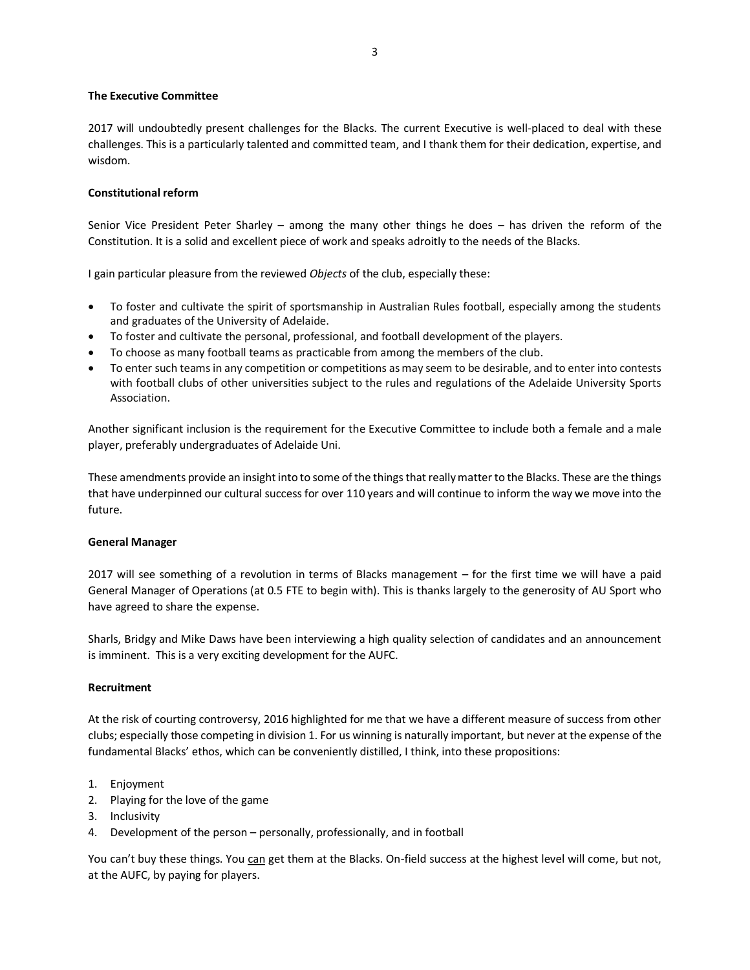## **The Executive Committee**

2017 will undoubtedly present challenges for the Blacks. The current Executive is well-placed to deal with these challenges. This is a particularly talented and committed team, and I thank them for their dedication, expertise, and wisdom.

# **Constitutional reform**

Senior Vice President Peter Sharley – among the many other things he does – has driven the reform of the Constitution. It is a solid and excellent piece of work and speaks adroitly to the needs of the Blacks.

I gain particular pleasure from the reviewed *Objects* of the club, especially these:

- To foster and cultivate the spirit of sportsmanship in Australian Rules football, especially among the students and graduates of the University of Adelaide.
- To foster and cultivate the personal, professional, and football development of the players.
- To choose as many football teams as practicable from among the members of the club.
- To enter such teams in any competition or competitions as may seem to be desirable, and to enter into contests with football clubs of other universities subject to the rules and regulations of the Adelaide University Sports Association.

Another significant inclusion is the requirement for the Executive Committee to include both a female and a male player, preferably undergraduates of Adelaide Uni.

These amendments provide an insight into to some of the things that really matter to the Blacks. These are the things that have underpinned our cultural success for over 110 years and will continue to inform the way we move into the future.

### **General Manager**

2017 will see something of a revolution in terms of Blacks management – for the first time we will have a paid General Manager of Operations (at 0.5 FTE to begin with). This is thanks largely to the generosity of AU Sport who have agreed to share the expense.

Sharls, Bridgy and Mike Daws have been interviewing a high quality selection of candidates and an announcement is imminent. This is a very exciting development for the AUFC.

## **Recruitment**

At the risk of courting controversy, 2016 highlighted for me that we have a different measure of success from other clubs; especially those competing in division 1. For us winning is naturally important, but never at the expense of the fundamental Blacks' ethos, which can be conveniently distilled, I think, into these propositions:

- 1. Enjoyment
- 2. Playing for the love of the game
- 3. Inclusivity
- 4. Development of the person personally, professionally, and in football

You can't buy these things. You can get them at the Blacks. On-field success at the highest level will come, but not, at the AUFC, by paying for players.